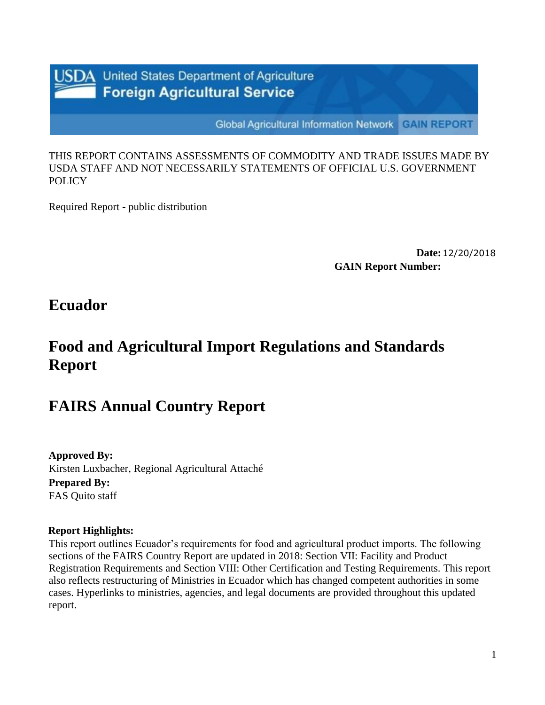

**United States Department of Agriculture Foreign Agricultural Service** 

**Global Agricultural Information Network GAIN REPORT** 

THIS REPORT CONTAINS ASSESSMENTS OF COMMODITY AND TRADE ISSUES MADE BY USDA STAFF AND NOT NECESSARILY STATEMENTS OF OFFICIAL U.S. GOVERNMENT POLICY

Required Report - public distribution

**Date:**12/20/2018 **GAIN Report Number:**

## **Ecuador**

# **Food and Agricultural Import Regulations and Standards Report**

## **FAIRS Annual Country Report**

**Approved By:** Kirsten Luxbacher, Regional Agricultural Attaché **Prepared By:** FAS Quito staff

#### **Report Highlights:**

This report outlines Ecuador's requirements for food and agricultural product imports. The following sections of the FAIRS Country Report are updated in 2018: Section VII: Facility and Product Registration Requirements and Section VIII: Other Certification and Testing Requirements. This report also reflects restructuring of Ministries in Ecuador which has changed competent authorities in some cases. Hyperlinks to ministries, agencies, and legal documents are provided throughout this updated report.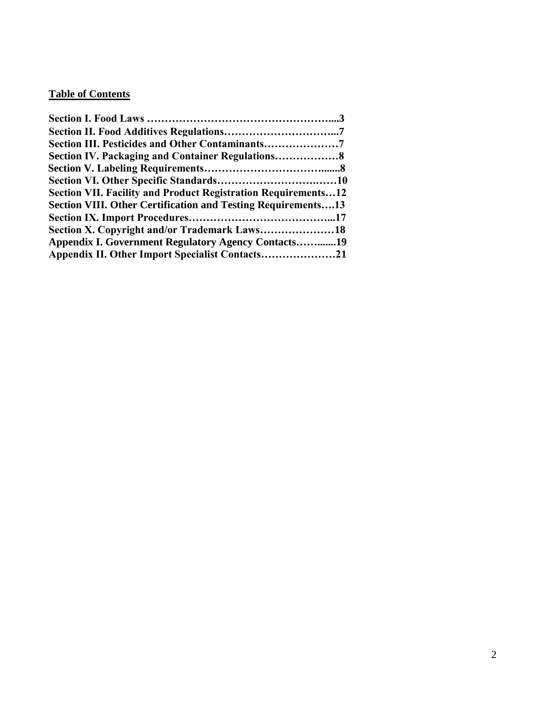## **Table of Contents**

| Section IV. Packaging and Container Regulations8                     |  |
|----------------------------------------------------------------------|--|
|                                                                      |  |
|                                                                      |  |
| <b>Section VII. Facility and Product Registration Requirements12</b> |  |
| <b>Section VIII. Other Certification and Testing Requirements13</b>  |  |
|                                                                      |  |
|                                                                      |  |
| <b>Appendix I. Government Regulatory Agency Contacts19</b>           |  |
|                                                                      |  |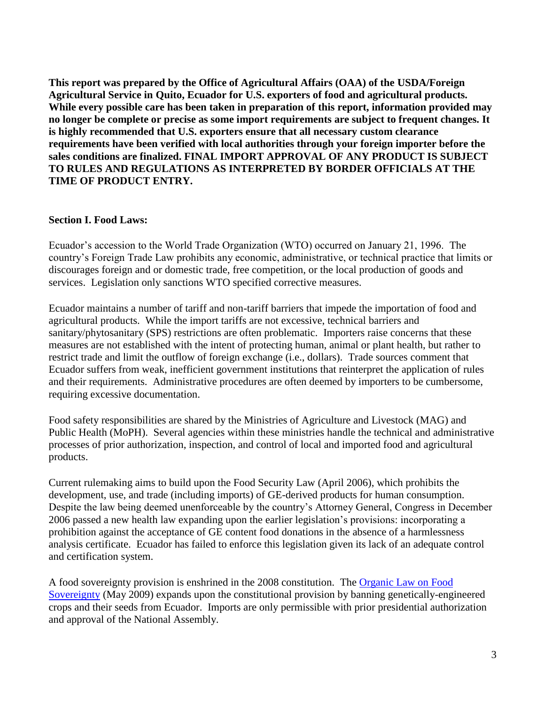**This report was prepared by the Office of Agricultural Affairs (OAA) of the USDA/Foreign Agricultural Service in Quito, Ecuador for U.S. exporters of food and agricultural products. While every possible care has been taken in preparation of this report, information provided may no longer be complete or precise as some import requirements are subject to frequent changes. It is highly recommended that U.S. exporters ensure that all necessary custom clearance requirements have been verified with local authorities through your foreign importer before the sales conditions are finalized. FINAL IMPORT APPROVAL OF ANY PRODUCT IS SUBJECT TO RULES AND REGULATIONS AS INTERPRETED BY BORDER OFFICIALS AT THE TIME OF PRODUCT ENTRY.**

#### **Section I. Food Laws:**

Ecuador's accession to the World Trade Organization (WTO) occurred on January 21, 1996. The country's Foreign Trade Law prohibits any economic, administrative, or technical practice that limits or discourages foreign and or domestic trade, free competition, or the local production of goods and services. Legislation only sanctions WTO specified corrective measures.

Ecuador maintains a number of tariff and non-tariff barriers that impede the importation of food and agricultural products. While the import tariffs are not excessive, technical barriers and sanitary/phytosanitary (SPS) restrictions are often problematic. Importers raise concerns that these measures are not established with the intent of protecting human, animal or plant health, but rather to restrict trade and limit the outflow of foreign exchange (i.e., dollars). Trade sources comment that Ecuador suffers from weak, inefficient government institutions that reinterpret the application of rules and their requirements. Administrative procedures are often deemed by importers to be cumbersome, requiring excessive documentation.

Food safety responsibilities are shared by the Ministries of Agriculture and Livestock (MAG) and Public Health (MoPH). Several agencies within these ministries handle the technical and administrative processes of prior authorization, inspection, and control of local and imported food and agricultural products.

Current rulemaking aims to build upon the Food Security Law (April 2006), which prohibits the development, use, and trade (including imports) of GE-derived products for human consumption. Despite the law being deemed unenforceable by the country's Attorney General, Congress in December 2006 passed a new health law expanding upon the earlier legislation's provisions: incorporating a prohibition against the acceptance of GE content food donations in the absence of a harmlessness analysis certificate. Ecuador has failed to enforce this legislation given its lack of an adequate control and certification system.

A food sovereignty provision is enshrined in the 2008 constitution. The [Organic Law on Food](http://www.wipo.int/wipolex/en/text.jsp?file_id=250538)  [Sovereignty](http://www.wipo.int/wipolex/en/text.jsp?file_id=250538) (May 2009) expands upon the constitutional provision by banning genetically-engineered crops and their seeds from Ecuador. Imports are only permissible with prior presidential authorization and approval of the National Assembly.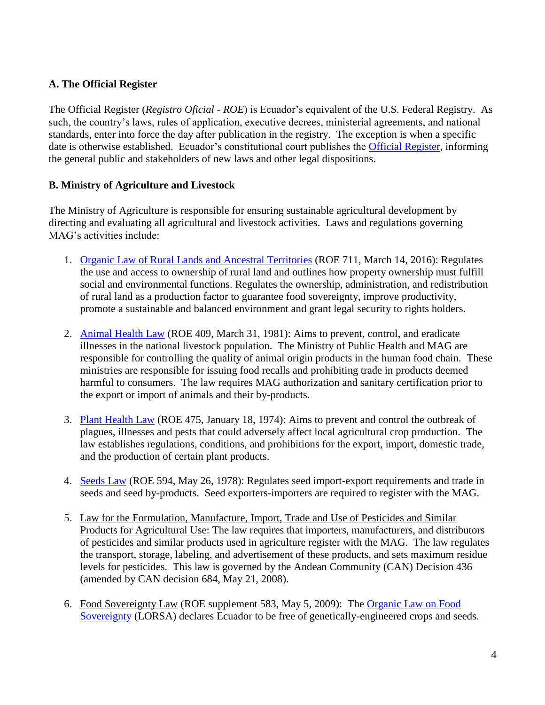## **A. The Official Register**

The Official Register (*Registro Oficial - ROE*) is Ecuador's equivalent of the U.S. Federal Registry. As such, the country's laws, rules of application, executive decrees, ministerial agreements, and national standards, enter into force the day after publication in the registry. The exception is when a specific date is otherwise established. Ecuador's constitutional court publishes the [Official Register,](http://www.registroficial.gob.ec/) informing the general public and stakeholders of new laws and other legal dispositions.

#### **B. Ministry of Agriculture and Livestock**

The Ministry of Agriculture is responsible for ensuring sustainable agricultural development by directing and evaluating all agricultural and livestock activities. Laws and regulations governing MAG's activities include:

- 1. [Organic Law of Rural Lands and Ancestral Territories](http://www.fao.org/faolex/results/details/en/c/LEX-FAOC166211/) (ROE 711, March 14, 2016): Regulates the use and access to ownership of rural land and outlines how property ownership must fulfill social and environmental functions. Regulates the ownership, administration, and redistribution of rural land as a production factor to guarantee food sovereignty, improve productivity, promote a sustainable and balanced environment and grant legal security to rights holders.
- 2. [Animal Health Law](http://faolex.fao.org/docs/pdf/ecu5452.pdf) (ROE 409, March 31, 1981): Aims to prevent, control, and eradicate illnesses in the national livestock population. The Ministry of Public Health and MAG are responsible for controlling the quality of animal origin products in the human food chain. These ministries are responsible for issuing food recalls and prohibiting trade in products deemed harmful to consumers. The law requires MAG authorization and sanitary certification prior to the export or import of animals and their by-products.
- 3. [Plant Health Law](http://faolex.fao.org/docs/pdf/ecu5453.pdf) (ROE 475, January 18, 1974): Aims to prevent and control the outbreak of plagues, illnesses and pests that could adversely affect local agricultural crop production. The law establishes regulations, conditions, and prohibitions for the export, import, domestic trade, and the production of certain plant products.
- 4. [Seeds Law](http://faolex.fao.org/docs/texts/ecu83172.doc) (ROE 594, May 26, 1978): Regulates seed import-export requirements and trade in seeds and seed by-products. Seed exporters-importers are required to register with the MAG.
- 5. Law for the Formulation, Manufacture, Import, Trade and Use of Pesticides and Similar Products for Agricultural Use: The law requires that importers, manufacturers, and distributors of pesticides and similar products used in agriculture register with the MAG. The law regulates the transport, storage, labeling, and advertisement of these products, and sets maximum residue levels for pesticides. This law is governed by the Andean Community (CAN) Decision 436 (amended by CAN decision 684, May 21, 2008).
- 6. Food Sovereignty Law (ROE supplement 583, May 5, 2009): The [Organic Law on Food](http://www.economiasolidaria.org/files/Ley_Soberania_Alimentaria_Ecuador.pdf)  [Sovereignty](http://www.economiasolidaria.org/files/Ley_Soberania_Alimentaria_Ecuador.pdf) (LORSA) declares Ecuador to be free of genetically-engineered crops and seeds.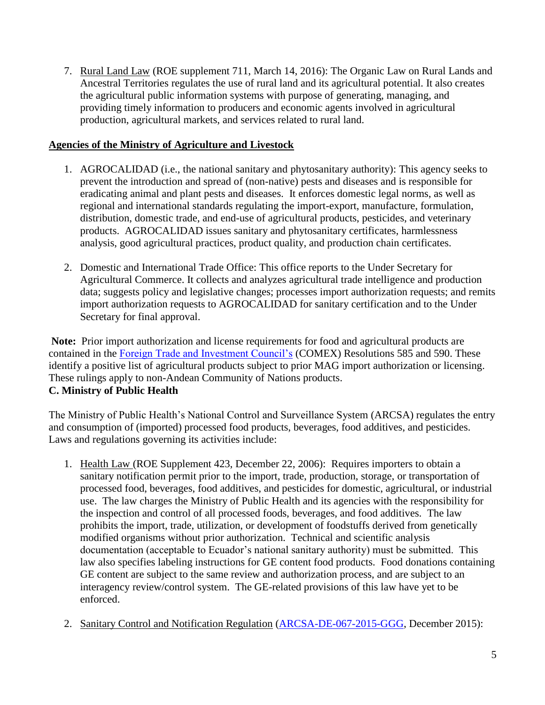7. Rural Land Law (ROE supplement 711, March 14, 2016): The Organic Law on Rural Lands and Ancestral Territories regulates the use of rural land and its agricultural potential. It also creates the agricultural public information systems with purpose of generating, managing, and providing timely information to producers and economic agents involved in agricultural production, agricultural markets, and services related to rural land.

#### **Agencies of the Ministry of Agriculture and Livestock**

- 1. AGROCALIDAD (i.e., the national sanitary and phytosanitary authority): This agency seeks to prevent the introduction and spread of (non-native) pests and diseases and is responsible for eradicating animal and plant pests and diseases. It enforces domestic legal norms, as well as regional and international standards regulating the import-export, manufacture, formulation, distribution, domestic trade, and end-use of agricultural products, pesticides, and veterinary products. AGROCALIDAD issues sanitary and phytosanitary certificates, harmlessness analysis, good agricultural practices, product quality, and production chain certificates.
- 2. Domestic and International Trade Office: This office reports to the Under Secretary for Agricultural Commerce. It collects and analyzes agricultural trade intelligence and production data; suggests policy and legislative changes; processes import authorization requests; and remits import authorization requests to AGROCALIDAD for sanitary certification and to the Under Secretary for final approval.

**Note:** Prior import authorization and license requirements for food and agricultural products are contained in the [Foreign Trade and Investment Council's](http://www.comercioexterior.gob.ec/comex/) (COMEX) Resolutions 585 and 590. These identify a positive list of agricultural products subject to prior MAG import authorization or licensing. These rulings apply to non-Andean Community of Nations products. **C. Ministry of Public Health** 

The Ministry of Public Health's National Control and Surveillance System (ARCSA) regulates the entry and consumption of (imported) processed food products, beverages, food additives, and pesticides. Laws and regulations governing its activities include:

- 1. Health Law (ROE Supplement 423, December 22, 2006): Requires importers to obtain a sanitary notification permit prior to the import, trade, production, storage, or transportation of processed food, beverages, food additives, and pesticides for domestic, agricultural, or industrial use. The law charges the Ministry of Public Health and its agencies with the responsibility for the inspection and control of all processed foods, beverages, and food additives. The law prohibits the import, trade, utilization, or development of foodstuffs derived from genetically modified organisms without prior authorization. Technical and scientific analysis documentation (acceptable to Ecuador's national sanitary authority) must be submitted. This law also specifies labeling instructions for GE content food products. Food donations containing GE content are subject to the same review and authorization process, and are subject to an interagency review/control system. The GE-related provisions of this law have yet to be enforced.
- 2. Sanitary Control and Notification Regulation [\(ARCSA-DE-067-2015-GGG,](http://www.controlsanitario.gob.ec/wp-content/uploads/downloads/2015/12/Resolucion_ARCSA-DE-067-2015-GGG.pdf) December 2015):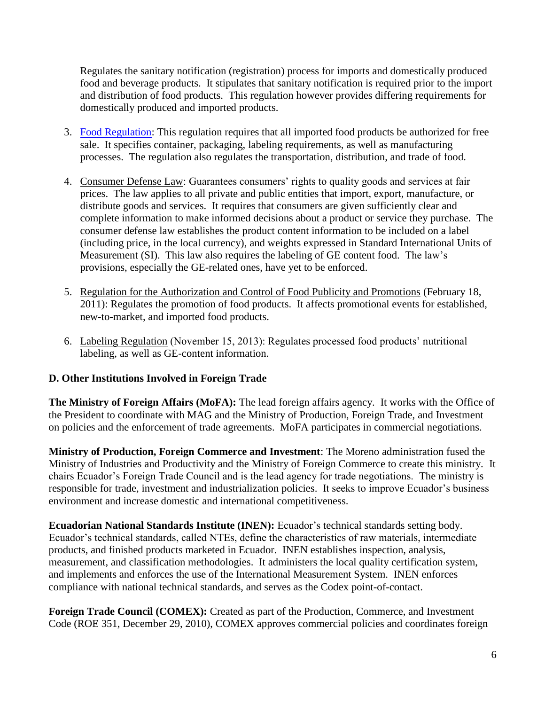Regulates the sanitary notification (registration) process for imports and domestically produced food and beverage products. It stipulates that sanitary notification is required prior to the import and distribution of food products. This regulation however provides differing requirements for domestically produced and imported products.

- 3. [Food Regulation:](https://aplicaciones.msp.gob.ec/salud/archivosdigitales/documentosDirecciones/dnn/archivos/REGLAMENTO_DE_ALIMENTOS.pdf) This regulation requires that all imported food products be authorized for free sale. It specifies container, packaging, labeling requirements, as well as manufacturing processes. The regulation also regulates the transportation, distribution, and trade of food.
- 4. Consumer Defense Law: Guarantees consumers' rights to quality goods and services at fair prices. The law applies to all private and public entities that import, export, manufacture, or distribute goods and services. It requires that consumers are given sufficiently clear and complete information to make informed decisions about a product or service they purchase. The consumer defense law establishes the product content information to be included on a label (including price, in the local currency), and weights expressed in Standard International Units of Measurement (SI). This law also requires the labeling of GE content food. The law's provisions, especially the GE-related ones, have yet to be enforced.
- 5. Regulation for the Authorization and Control of Food Publicity and Promotions (February 18, 2011): Regulates the promotion of food products. It affects promotional events for established, new-to-market, and imported food products.
- 6. Labeling Regulation (November 15, 2013): Regulates processed food products' nutritional labeling, as well as GE-content information.

## **D. Other Institutions Involved in Foreign Trade**

**The Ministry of Foreign Affairs (MoFA):** The lead foreign affairs agency. It works with the Office of the President to coordinate with MAG and the Ministry of Production, Foreign Trade, and Investment on policies and the enforcement of trade agreements. MoFA participates in commercial negotiations.

**Ministry of Production, Foreign Commerce and Investment**: The Moreno administration fused the Ministry of Industries and Productivity and the Ministry of Foreign Commerce to create this ministry. It chairs Ecuador's Foreign Trade Council and is the lead agency for trade negotiations. The ministry is responsible for trade, investment and industrialization policies. It seeks to improve Ecuador's business environment and increase domestic and international competitiveness.

**Ecuadorian National Standards Institute (INEN):** Ecuador's technical standards setting body. Ecuador's technical standards, called NTEs, define the characteristics of raw materials, intermediate products, and finished products marketed in Ecuador. INEN establishes inspection, analysis, measurement, and classification methodologies. It administers the local quality certification system, and implements and enforces the use of the International Measurement System. INEN enforces compliance with national technical standards, and serves as the Codex point-of-contact.

**Foreign Trade Council (COMEX):** Created as part of the Production, Commerce, and Investment Code (ROE 351, December 29, 2010), COMEX approves commercial policies and coordinates foreign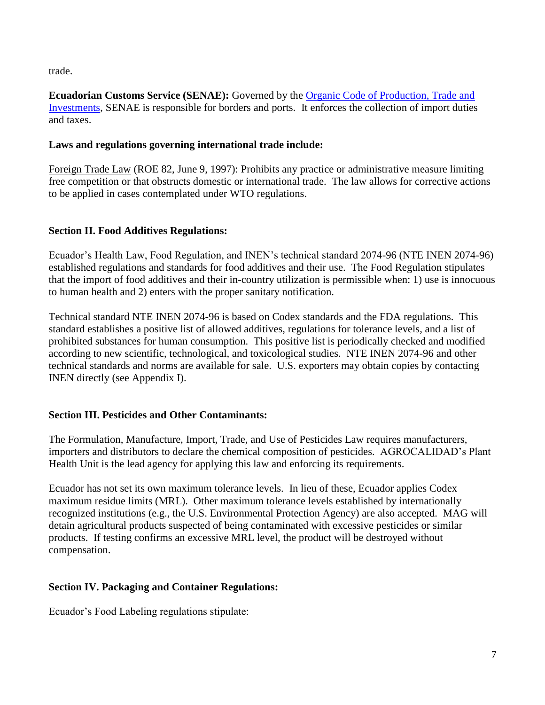trade.

**Ecuadorian Customs Service (SENAE):** Governed by the [Organic Code of Production, Trade and](https://www.aduana.gob.ec/codigo-organico-copci/)  [Investments,](https://www.aduana.gob.ec/codigo-organico-copci/) SENAE is responsible for borders and ports. It enforces the collection of import duties and taxes.

#### **Laws and regulations governing international trade include:**

Foreign Trade Law (ROE 82, June 9, 1997): Prohibits any practice or administrative measure limiting free competition or that obstructs domestic or international trade. The law allows for corrective actions to be applied in cases contemplated under WTO regulations.

## **Section II. Food Additives Regulations:**

Ecuador's Health Law, Food Regulation, and INEN's technical standard 2074-96 (NTE INEN 2074-96) established regulations and standards for food additives and their use. The Food Regulation stipulates that the import of food additives and their in-country utilization is permissible when: 1) use is innocuous to human health and 2) enters with the proper sanitary notification.

Technical standard NTE INEN 2074-96 is based on Codex standards and the FDA regulations. This standard establishes a positive list of allowed additives, regulations for tolerance levels, and a list of prohibited substances for human consumption. This positive list is periodically checked and modified according to new scientific, technological, and toxicological studies. NTE INEN 2074-96 and other technical standards and norms are available for sale. U.S. exporters may obtain copies by contacting INEN directly (see Appendix I).

## **Section III. Pesticides and Other Contaminants:**

The Formulation, Manufacture, Import, Trade, and Use of Pesticides Law requires manufacturers, importers and distributors to declare the chemical composition of pesticides. AGROCALIDAD's Plant Health Unit is the lead agency for applying this law and enforcing its requirements.

Ecuador has not set its own maximum tolerance levels. In lieu of these, Ecuador applies Codex maximum residue limits (MRL). Other maximum tolerance levels established by internationally recognized institutions (e.g., the U.S. Environmental Protection Agency) are also accepted. MAG will detain agricultural products suspected of being contaminated with excessive pesticides or similar products. If testing confirms an excessive MRL level, the product will be destroyed without compensation.

## **Section IV. Packaging and Container Regulations:**

Ecuador's Food Labeling regulations stipulate: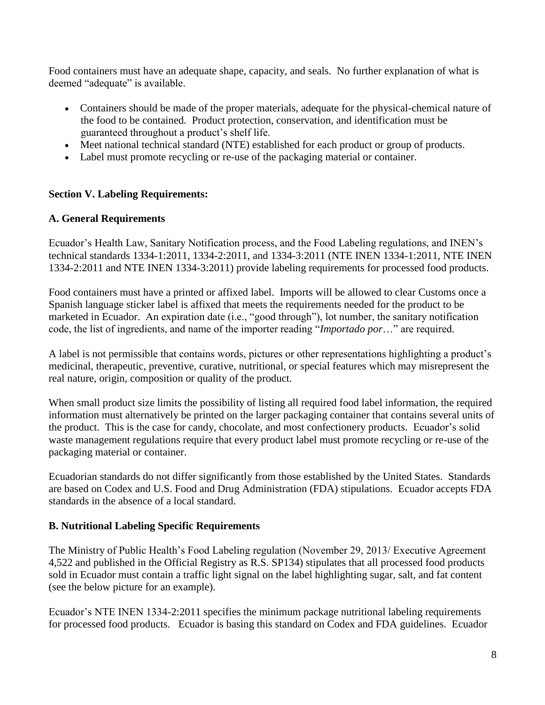Food containers must have an adequate shape, capacity, and seals. No further explanation of what is deemed "adequate" is available.

- Containers should be made of the proper materials, adequate for the physical-chemical nature of the food to be contained. Product protection, conservation, and identification must be guaranteed throughout a product's shelf life.
- Meet national technical standard (NTE) established for each product or group of products.
- Label must promote recycling or re-use of the packaging material or container.

## **Section V. Labeling Requirements:**

#### **A. General Requirements**

Ecuador's Health Law, Sanitary Notification process, and the Food Labeling regulations, and INEN's technical standards 1334-1:2011, 1334-2:2011, and 1334-3:2011 (NTE INEN 1334-1:2011, NTE INEN 1334-2:2011 and NTE INEN 1334-3:2011) provide labeling requirements for processed food products.

Food containers must have a printed or affixed label. Imports will be allowed to clear Customs once a Spanish language sticker label is affixed that meets the requirements needed for the product to be marketed in Ecuador. An expiration date (i.e., "good through"), lot number, the sanitary notification code, the list of ingredients, and name of the importer reading "*Importado por*…" are required.

A label is not permissible that contains words, pictures or other representations highlighting a product's medicinal, therapeutic, preventive, curative, nutritional, or special features which may misrepresent the real nature, origin, composition or quality of the product.

When small product size limits the possibility of listing all required food label information, the required information must alternatively be printed on the larger packaging container that contains several units of the product. This is the case for candy, chocolate, and most confectionery products. Ecuador's solid waste management regulations require that every product label must promote recycling or re-use of the packaging material or container.

Ecuadorian standards do not differ significantly from those established by the United States. Standards are based on Codex and U.S. Food and Drug Administration (FDA) stipulations. Ecuador accepts FDA standards in the absence of a local standard.

#### **B. Nutritional Labeling Specific Requirements**

The Ministry of Public Health's Food Labeling regulation (November 29, 2013/ Executive Agreement 4,522 and published in the Official Registry as R.S. SP134) stipulates that all processed food products sold in Ecuador must contain a traffic light signal on the label highlighting sugar, salt, and fat content (see the below picture for an example).

Ecuador's NTE INEN 1334-2:2011 specifies the minimum package nutritional labeling requirements for processed food products. Ecuador is basing this standard on Codex and FDA guidelines. Ecuador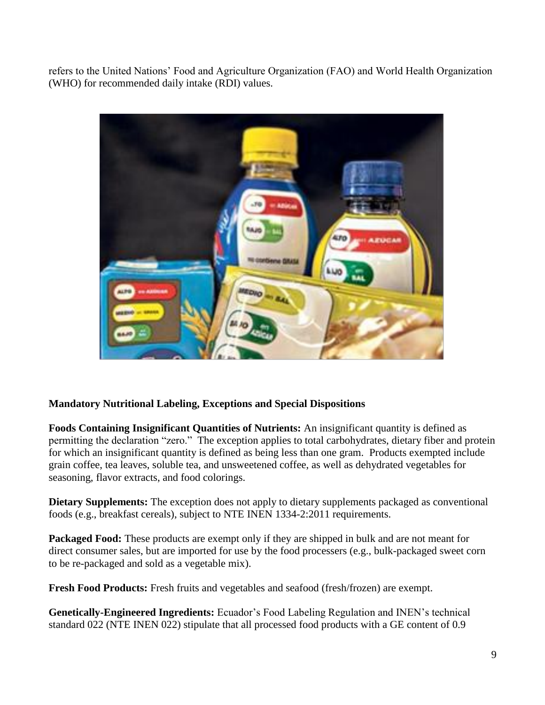refers to the United Nations' Food and Agriculture Organization (FAO) and World Health Organization (WHO) for recommended daily intake (RDI) values.



## **Mandatory Nutritional Labeling, Exceptions and Special Dispositions**

**Foods Containing Insignificant Quantities of Nutrients:** An insignificant quantity is defined as permitting the declaration "zero." The exception applies to total carbohydrates, dietary fiber and protein for which an insignificant quantity is defined as being less than one gram. Products exempted include grain coffee, tea leaves, soluble tea, and unsweetened coffee, as well as dehydrated vegetables for seasoning, flavor extracts, and food colorings.

**Dietary Supplements:** The exception does not apply to dietary supplements packaged as conventional foods (e.g., breakfast cereals), subject to NTE INEN 1334-2:2011 requirements.

**Packaged Food:** These products are exempt only if they are shipped in bulk and are not meant for direct consumer sales, but are imported for use by the food processers (e.g., bulk-packaged sweet corn to be re-packaged and sold as a vegetable mix).

**Fresh Food Products:** Fresh fruits and vegetables and seafood (fresh/frozen) are exempt.

**Genetically-Engineered Ingredients:** Ecuador's Food Labeling Regulation and INEN's technical standard 022 (NTE INEN 022) stipulate that all processed food products with a GE content of 0.9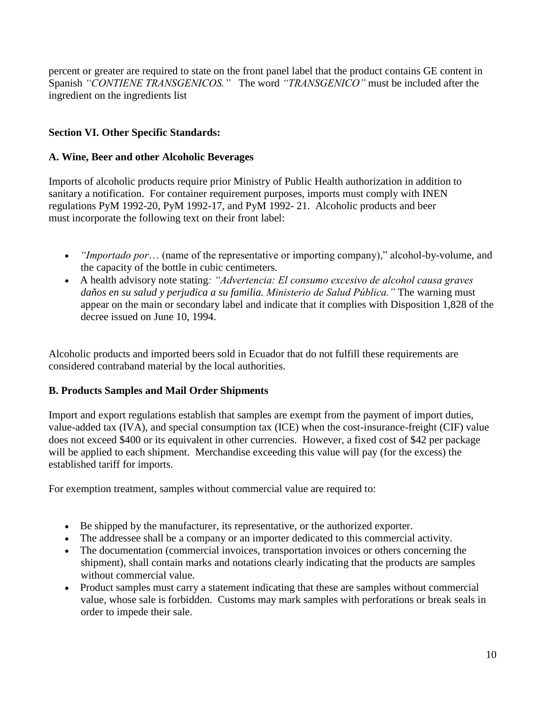percent or greater are required to state on the front panel label that the product contains GE content in Spanish *"CONTIENE TRANSGENICOS."* The word *"TRANSGENICO"* must be included after the ingredient on the ingredients list

#### **Section VI. Other Specific Standards:**

#### **A. Wine, Beer and other Alcoholic Beverages**

Imports of alcoholic products require prior Ministry of Public Health authorization in addition to sanitary a notification. For container requirement purposes, imports must comply with INEN regulations PyM 1992-20, PyM 1992-17, and PyM 1992- 21. Alcoholic products and beer must incorporate the following text on their front label:

- *"Importado por*… (name of the representative or importing company)," alcohol-by-volume, and the capacity of the bottle in cubic centimeters.
- A health advisory note stating*: "Advertencia: El consumo excesivo de alcohol causa graves daños en su salud y perjudica a su familia. Ministerio de Salud Pública."* The warning must appear on the main or secondary label and indicate that it complies with Disposition 1,828 of the decree issued on June 10, 1994.

Alcoholic products and imported beers sold in Ecuador that do not fulfill these requirements are considered contraband material by the local authorities.

#### **B. Products Samples and Mail Order Shipments**

Import and export regulations establish that samples are exempt from the payment of import duties, value-added tax (IVA), and special consumption tax (ICE) when the cost-insurance-freight (CIF) value does not exceed \$400 or its equivalent in other currencies. However, a fixed cost of \$42 per package will be applied to each shipment. Merchandise exceeding this value will pay (for the excess) the established tariff for imports.

For exemption treatment, samples without commercial value are required to:

- Be shipped by the manufacturer, its representative, or the authorized exporter.
- The addressee shall be a company or an importer dedicated to this commercial activity.
- The documentation (commercial invoices, transportation invoices or others concerning the shipment), shall contain marks and notations clearly indicating that the products are samples without commercial value.
- Product samples must carry a statement indicating that these are samples without commercial value, whose sale is forbidden. Customs may mark samples with perforations or break seals in order to impede their sale.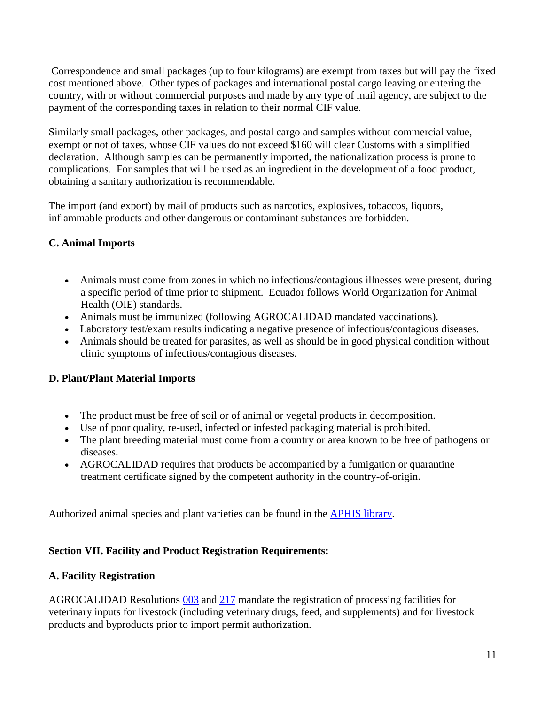Correspondence and small packages (up to four kilograms) are exempt from taxes but will pay the fixed cost mentioned above. Other types of packages and international postal cargo leaving or entering the country, with or without commercial purposes and made by any type of mail agency, are subject to the payment of the corresponding taxes in relation to their normal CIF value.

Similarly small packages, other packages, and postal cargo and samples without commercial value, exempt or not of taxes, whose CIF values do not exceed \$160 will clear Customs with a simplified declaration. Although samples can be permanently imported, the nationalization process is prone to complications. For samples that will be used as an ingredient in the development of a food product, obtaining a sanitary authorization is recommendable.

The import (and export) by mail of products such as narcotics, explosives, tobaccos, liquors, inflammable products and other dangerous or contaminant substances are forbidden.

## **C. Animal Imports**

- Animals must come from zones in which no infectious/contagious illnesses were present, during a specific period of time prior to shipment. Ecuador follows World Organization for Animal Health (OIE) standards.
- Animals must be immunized (following AGROCALIDAD mandated vaccinations).
- Laboratory test/exam results indicating a negative presence of infectious/contagious diseases.
- Animals should be treated for parasites, as well as should be in good physical condition without clinic symptoms of infectious/contagious diseases.

## **D. Plant/Plant Material Imports**

- The product must be free of soil or of animal or vegetal products in decomposition.
- Use of poor quality, re-used, infected or infested packaging material is prohibited.
- The plant breeding material must come from a country or area known to be free of pathogens or diseases.
- AGROCALIDAD requires that products be accompanied by a fumigation or quarantine treatment certificate signed by the competent authority in the country-of-origin.

Authorized animal species and plant varieties can be found in the **APHIS library**.

#### **Section VII. Facility and Product Registration Requirements:**

#### **A. Facility Registration**

AGROCALIDAD Resolutions [003](http://www.agrocalidad.gob.ec/wp-content/uploads/2013/10/resolucion-003-manual-para-el-registro-de-empresa-productos-de-uso-veterinario.pdf) and [217](http://www.agrocalidad.gob.ec/documentos/dia/resolucion-0217_habilitacion-de-empresas_15-09-2016.pdf) mandate the registration of processing facilities for veterinary inputs for livestock (including veterinary drugs, feed, and supplements) and for livestock products and byproducts prior to import permit authorization.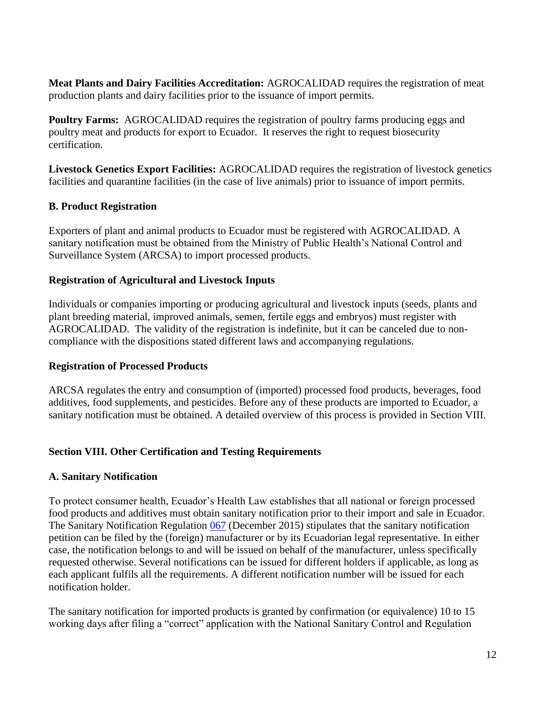**Meat Plants and Dairy Facilities Accreditation:** AGROCALIDAD requires the registration of meat production plants and dairy facilities prior to the issuance of import permits.

**Poultry Farms:** AGROCALIDAD requires the registration of poultry farms producing eggs and poultry meat and products for export to Ecuador. It reserves the right to request biosecurity certification.

**Livestock Genetics Export Facilities:** AGROCALIDAD requires the registration of livestock genetics facilities and quarantine facilities (in the case of live animals) prior to issuance of import permits.

## **B. Product Registration**

Exporters of plant and animal products to Ecuador must be registered with AGROCALIDAD. A sanitary notification must be obtained from the Ministry of Public Health's National Control and Surveillance System (ARCSA) to import processed products.

#### **Registration of Agricultural and Livestock Inputs**

Individuals or companies importing or producing agricultural and livestock inputs (seeds, plants and plant breeding material, improved animals, semen, fertile eggs and embryos) must register with AGROCALIDAD. The validity of the registration is indefinite, but it can be canceled due to noncompliance with the dispositions stated different laws and accompanying regulations.

#### **Registration of Processed Products**

ARCSA regulates the entry and consumption of (imported) processed food products, beverages, food additives, food supplements, and pesticides. Before any of these products are imported to Ecuador, a sanitary notification must be obtained. A detailed overview of this process is provided in Section VIII.

## **Section VIII. Other Certification and Testing Requirements**

#### **A. Sanitary Notification**

To protect consumer health, Ecuador's Health Law establishes that all national or foreign processed food products and additives must obtain sanitary notification prior to their import and sale in Ecuador. The Sanitary Notification Regulation [067](https://www.controlsanitario.gob.ec/documentos-vigentes/) (December 2015) stipulates that the sanitary notification petition can be filed by the (foreign) manufacturer or by its Ecuadorian legal representative. In either case, the notification belongs to and will be issued on behalf of the manufacturer, unless specifically requested otherwise. Several notifications can be issued for different holders if applicable, as long as each applicant fulfils all the requirements. A different notification number will be issued for each notification holder.

The sanitary notification for imported products is granted by confirmation (or equivalence) 10 to 15 working days after filing a "correct" application with the National Sanitary Control and Regulation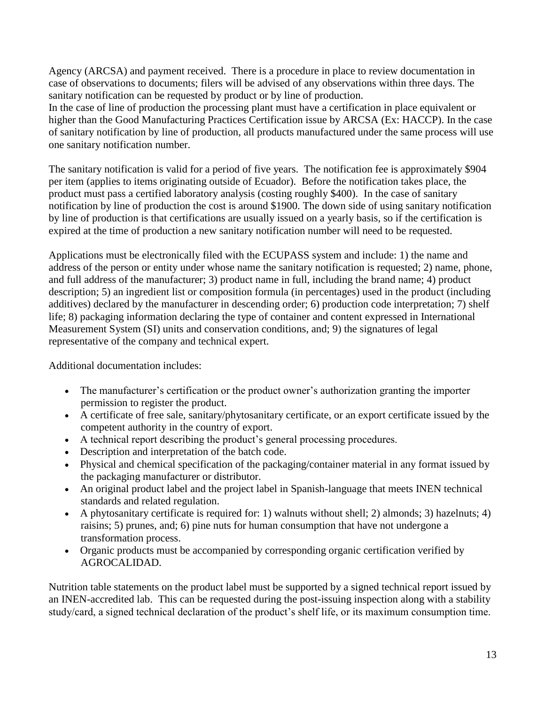Agency (ARCSA) and payment received. There is a procedure in place to review documentation in case of observations to documents; filers will be advised of any observations within three days. The sanitary notification can be requested by product or by line of production.

In the case of line of production the processing plant must have a certification in place equivalent or higher than the Good Manufacturing Practices Certification issue by ARCSA (Ex: HACCP). In the case of sanitary notification by line of production, all products manufactured under the same process will use one sanitary notification number.

The sanitary notification is valid for a period of five years. The notification fee is approximately \$904 per item (applies to items originating outside of Ecuador). Before the notification takes place, the product must pass a certified laboratory analysis (costing roughly \$400). In the case of sanitary notification by line of production the cost is around \$1900. The down side of using sanitary notification by line of production is that certifications are usually issued on a yearly basis, so if the certification is expired at the time of production a new sanitary notification number will need to be requested.

Applications must be electronically filed with the ECUPASS system and include: 1) the name and address of the person or entity under whose name the sanitary notification is requested; 2) name, phone, and full address of the manufacturer; 3) product name in full, including the brand name; 4) product description; 5) an ingredient list or composition formula (in percentages) used in the product (including additives) declared by the manufacturer in descending order; 6) production code interpretation; 7) shelf life; 8) packaging information declaring the type of container and content expressed in International Measurement System (SI) units and conservation conditions, and; 9) the signatures of legal representative of the company and technical expert.

Additional documentation includes:

- The manufacturer's certification or the product owner's authorization granting the importer permission to register the product.
- A certificate of free sale, sanitary/phytosanitary certificate, or an export certificate issued by the competent authority in the country of export.
- A technical report describing the product's general processing procedures.
- Description and interpretation of the batch code.
- Physical and chemical specification of the packaging/container material in any format issued by the packaging manufacturer or distributor.
- An original product label and the project label in Spanish-language that meets INEN technical standards and related regulation.
- A phytosanitary certificate is required for: 1) walnuts without shell; 2) almonds; 3) hazelnuts; 4) raisins; 5) prunes, and; 6) pine nuts for human consumption that have not undergone a transformation process.
- Organic products must be accompanied by corresponding organic certification verified by AGROCALIDAD.

Nutrition table statements on the product label must be supported by a signed technical report issued by an INEN-accredited lab. This can be requested during the post-issuing inspection along with a stability study/card, a signed technical declaration of the product's shelf life, or its maximum consumption time.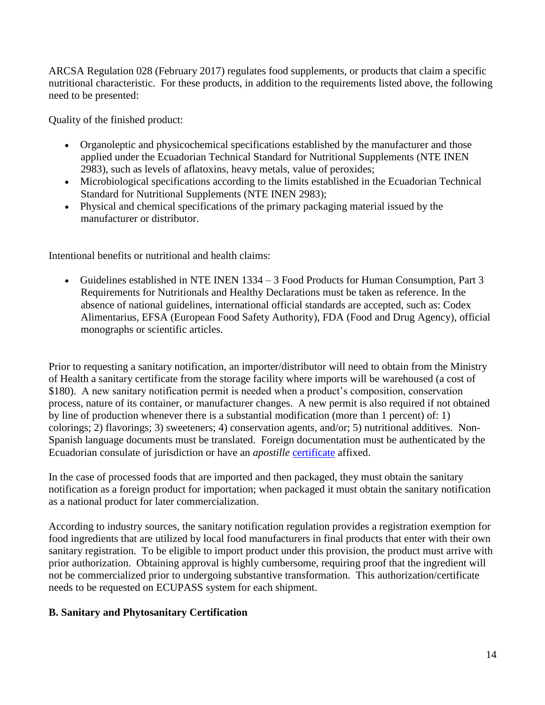ARCSA Regulation 028 (February 2017) regulates food supplements, or products that claim a specific nutritional characteristic. For these products, in addition to the requirements listed above, the following need to be presented:

Quality of the finished product:

- Organoleptic and physicochemical specifications established by the manufacturer and those applied under the Ecuadorian Technical Standard for Nutritional Supplements (NTE INEN 2983), such as levels of aflatoxins, heavy metals, value of peroxides;
- Microbiological specifications according to the limits established in the Ecuadorian Technical Standard for Nutritional Supplements (NTE INEN 2983);
- Physical and chemical specifications of the primary packaging material issued by the manufacturer or distributor.

Intentional benefits or nutritional and health claims:

 Guidelines established in NTE INEN 1334 – 3 Food Products for Human Consumption, Part 3 Requirements for Nutritionals and Healthy Declarations must be taken as reference. In the absence of national guidelines, international official standards are accepted, such as: Codex Alimentarius, EFSA (European Food Safety Authority), FDA (Food and Drug Agency), official monographs or scientific articles.

Prior to requesting a sanitary notification, an importer/distributor will need to obtain from the Ministry of Health a sanitary certificate from the storage facility where imports will be warehoused (a cost of \$180). A new sanitary notification permit is needed when a product's composition, conservation process, nature of its container, or manufacturer changes. A new permit is also required if not obtained by line of production whenever there is a substantial modification (more than 1 percent) of: 1) colorings; 2) flavorings; 3) sweeteners; 4) conservation agents, and/or; 5) nutritional additives. Non-Spanish language documents must be translated. Foreign documentation must be authenticated by the Ecuadorian consulate of jurisdiction or have an *apostille* [certificate](https://travel.state.gov/content/travel/en/legal/travel-legal-considerations/internl-judicial-asst/authentications-and-apostilles/apostille-requirements.html) affixed.

In the case of processed foods that are imported and then packaged, they must obtain the sanitary notification as a foreign product for importation; when packaged it must obtain the sanitary notification as a national product for later commercialization.

According to industry sources, the sanitary notification regulation provides a registration exemption for food ingredients that are utilized by local food manufacturers in final products that enter with their own sanitary registration. To be eligible to import product under this provision, the product must arrive with prior authorization. Obtaining approval is highly cumbersome, requiring proof that the ingredient will not be commercialized prior to undergoing substantive transformation. This authorization/certificate needs to be requested on ECUPASS system for each shipment.

## **B. Sanitary and Phytosanitary Certification**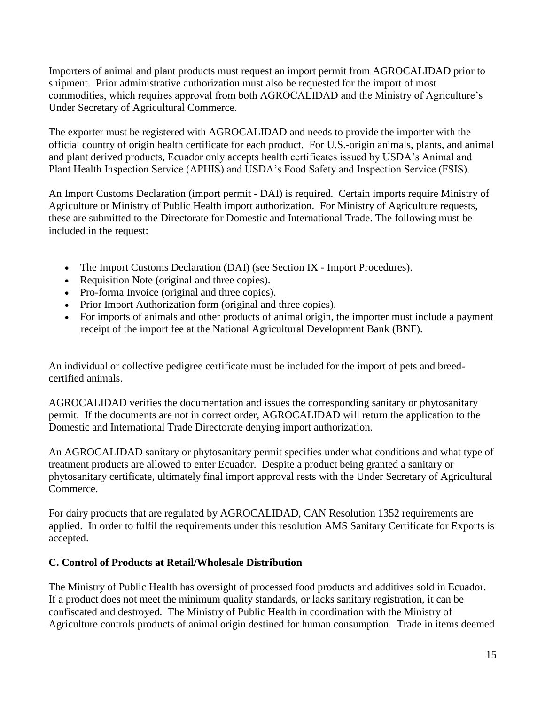Importers of animal and plant products must request an import permit from AGROCALIDAD prior to shipment. Prior administrative authorization must also be requested for the import of most commodities, which requires approval from both AGROCALIDAD and the Ministry of Agriculture's Under Secretary of Agricultural Commerce.

The exporter must be registered with AGROCALIDAD and needs to provide the importer with the official country of origin health certificate for each product. For U.S.-origin animals, plants, and animal and plant derived products, Ecuador only accepts health certificates issued by USDA's Animal and Plant Health Inspection Service (APHIS) and USDA's Food Safety and Inspection Service (FSIS).

An Import Customs Declaration (import permit - DAI) is required. Certain imports require Ministry of Agriculture or Ministry of Public Health import authorization. For Ministry of Agriculture requests, these are submitted to the Directorate for Domestic and International Trade. The following must be included in the request:

- The Import Customs Declaration (DAI) (see Section IX Import Procedures).
- Requisition Note (original and three copies).
- Pro-forma Invoice (original and three copies).
- Prior Import Authorization form (original and three copies).
- For imports of animals and other products of animal origin, the importer must include a payment receipt of the import fee at the National Agricultural Development Bank (BNF).

An individual or collective pedigree certificate must be included for the import of pets and breedcertified animals.

AGROCALIDAD verifies the documentation and issues the corresponding sanitary or phytosanitary permit. If the documents are not in correct order, AGROCALIDAD will return the application to the Domestic and International Trade Directorate denying import authorization.

An AGROCALIDAD sanitary or phytosanitary permit specifies under what conditions and what type of treatment products are allowed to enter Ecuador. Despite a product being granted a sanitary or phytosanitary certificate, ultimately final import approval rests with the Under Secretary of Agricultural Commerce.

For dairy products that are regulated by AGROCALIDAD, CAN Resolution 1352 requirements are applied. In order to fulfil the requirements under this resolution AMS Sanitary Certificate for Exports is accepted.

#### **C. Control of Products at Retail/Wholesale Distribution**

The Ministry of Public Health has oversight of processed food products and additives sold in Ecuador. If a product does not meet the minimum quality standards, or lacks sanitary registration, it can be confiscated and destroyed. The Ministry of Public Health in coordination with the Ministry of Agriculture controls products of animal origin destined for human consumption. Trade in items deemed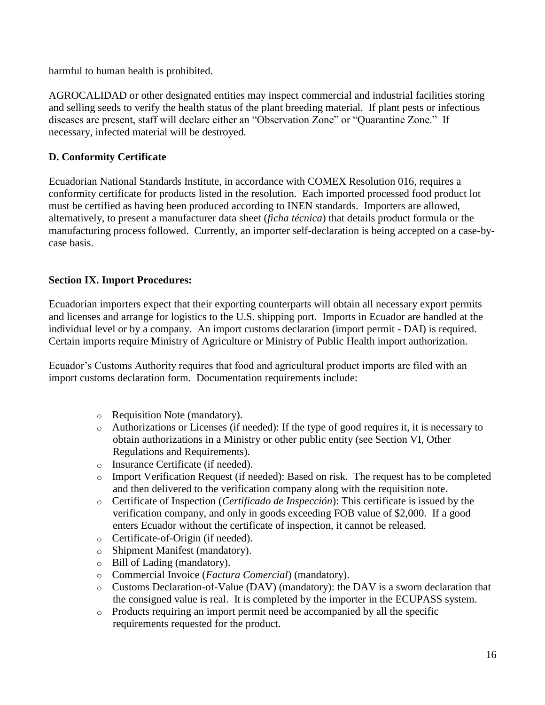harmful to human health is prohibited.

AGROCALIDAD or other designated entities may inspect commercial and industrial facilities storing and selling seeds to verify the health status of the plant breeding material. If plant pests or infectious diseases are present, staff will declare either an "Observation Zone" or "Quarantine Zone." If necessary, infected material will be destroyed.

## **D. Conformity Certificate**

Ecuadorian National Standards Institute, in accordance with COMEX Resolution 016, requires a conformity certificate for products listed in the resolution. Each imported processed food product lot must be certified as having been produced according to INEN standards. Importers are allowed, alternatively, to present a manufacturer data sheet (*ficha técnica*) that details product formula or the manufacturing process followed. Currently, an importer self-declaration is being accepted on a case-bycase basis.

## **Section IX. Import Procedures:**

Ecuadorian importers expect that their exporting counterparts will obtain all necessary export permits and licenses and arrange for logistics to the U.S. shipping port. Imports in Ecuador are handled at the individual level or by a company. An import customs declaration (import permit - DAI) is required. Certain imports require Ministry of Agriculture or Ministry of Public Health import authorization.

Ecuador's Customs Authority requires that food and agricultural product imports are filed with an import customs declaration form. Documentation requirements include:

- o Requisition Note (mandatory).
- $\circ$  Authorizations or Licenses (if needed): If the type of good requires it, it is necessary to obtain authorizations in a Ministry or other public entity (see Section VI, Other Regulations and Requirements).
- o Insurance Certificate (if needed).
- o Import Verification Request (if needed): Based on risk. The request has to be completed and then delivered to the verification company along with the requisition note.
- o Certificate of Inspection (*Certificado de Inspección*): This certificate is issued by the verification company, and only in goods exceeding FOB value of \$2,000. If a good enters Ecuador without the certificate of inspection, it cannot be released.
- o Certificate-of-Origin (if needed).
- o Shipment Manifest (mandatory).
- o Bill of Lading (mandatory).
- o Commercial Invoice (*Factura Comercial*) (mandatory).
- o Customs Declaration-of-Value (DAV) (mandatory): the DAV is a sworn declaration that the consigned value is real. It is completed by the importer in the ECUPASS system.
- o Products requiring an import permit need be accompanied by all the specific requirements requested for the product.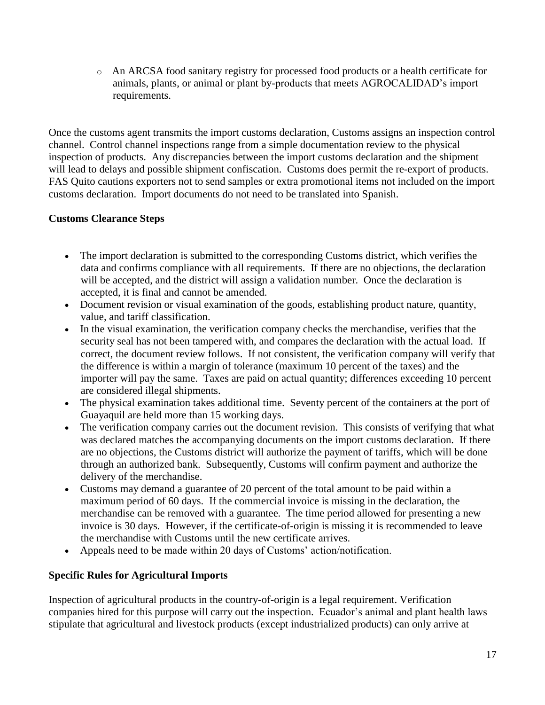o An ARCSA food sanitary registry for processed food products or a health certificate for animals, plants, or animal or plant by-products that meets AGROCALIDAD's import requirements.

Once the customs agent transmits the import customs declaration, Customs assigns an inspection control channel. Control channel inspections range from a simple documentation review to the physical inspection of products. Any discrepancies between the import customs declaration and the shipment will lead to delays and possible shipment confiscation. Customs does permit the re-export of products. FAS Quito cautions exporters not to send samples or extra promotional items not included on the import customs declaration. Import documents do not need to be translated into Spanish.

#### **Customs Clearance Steps**

- The import declaration is submitted to the corresponding Customs district, which verifies the data and confirms compliance with all requirements. If there are no objections, the declaration will be accepted, and the district will assign a validation number. Once the declaration is accepted, it is final and cannot be amended.
- Document revision or visual examination of the goods, establishing product nature, quantity, value, and tariff classification.
- In the visual examination, the verification company checks the merchandise, verifies that the security seal has not been tampered with, and compares the declaration with the actual load. If correct, the document review follows. If not consistent, the verification company will verify that the difference is within a margin of tolerance (maximum 10 percent of the taxes) and the importer will pay the same. Taxes are paid on actual quantity; differences exceeding 10 percent are considered illegal shipments.
- The physical examination takes additional time. Seventy percent of the containers at the port of Guayaquil are held more than 15 working days.
- The verification company carries out the document revision. This consists of verifying that what was declared matches the accompanying documents on the import customs declaration. If there are no objections, the Customs district will authorize the payment of tariffs, which will be done through an authorized bank. Subsequently, Customs will confirm payment and authorize the delivery of the merchandise.
- Customs may demand a guarantee of 20 percent of the total amount to be paid within a maximum period of 60 days. If the commercial invoice is missing in the declaration, the merchandise can be removed with a guarantee. The time period allowed for presenting a new invoice is 30 days. However, if the certificate-of-origin is missing it is recommended to leave the merchandise with Customs until the new certificate arrives.
- Appeals need to be made within 20 days of Customs' action/notification.

## **Specific Rules for Agricultural Imports**

Inspection of agricultural products in the country-of-origin is a legal requirement. Verification companies hired for this purpose will carry out the inspection. Ecuador's animal and plant health laws stipulate that agricultural and livestock products (except industrialized products) can only arrive at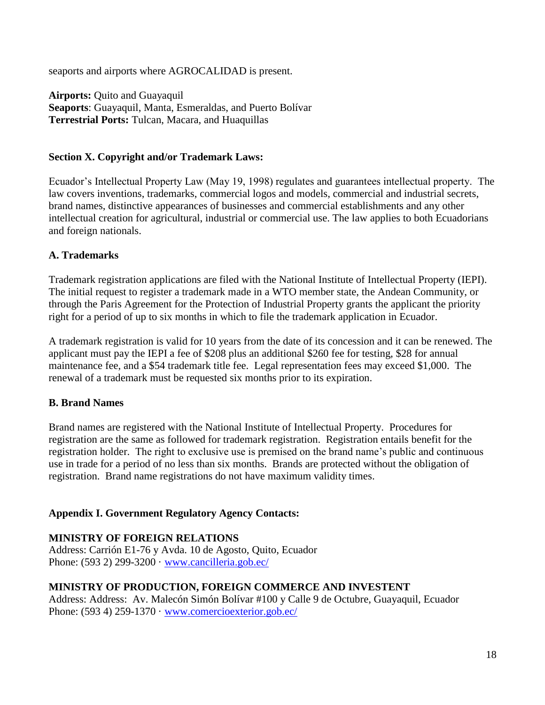seaports and airports where AGROCALIDAD is present.

**Airports:** Quito and Guayaquil **Seaports**: Guayaquil, Manta, Esmeraldas, and Puerto Bolívar **Terrestrial Ports:** Tulcan, Macara, and Huaquillas

#### **Section X. Copyright and/or Trademark Laws:**

Ecuador's Intellectual Property Law (May 19, 1998) regulates and guarantees intellectual property. The law covers inventions, trademarks, commercial logos and models, commercial and industrial secrets, brand names, distinctive appearances of businesses and commercial establishments and any other intellectual creation for agricultural, industrial or commercial use. The law applies to both Ecuadorians and foreign nationals.

#### **A. Trademarks**

Trademark registration applications are filed with the National Institute of Intellectual Property (IEPI). The initial request to register a trademark made in a WTO member state, the Andean Community, or through the Paris Agreement for the Protection of Industrial Property grants the applicant the priority right for a period of up to six months in which to file the trademark application in Ecuador.

A trademark registration is valid for 10 years from the date of its concession and it can be renewed. The applicant must pay the IEPI a fee of \$208 plus an additional \$260 fee for testing, \$28 for annual maintenance fee, and a \$54 trademark title fee. Legal representation fees may exceed \$1,000. The renewal of a trademark must be requested six months prior to its expiration.

## **B. Brand Names**

Brand names are registered with the National Institute of Intellectual Property. Procedures for registration are the same as followed for trademark registration. Registration entails benefit for the registration holder. The right to exclusive use is premised on the brand name's public and continuous use in trade for a period of no less than six months. Brands are protected without the obligation of registration. Brand name registrations do not have maximum validity times.

## **Appendix I. Government Regulatory Agency Contacts:**

## **MINISTRY OF FOREIGN RELATIONS**

Address: Carrión E1-76 y Avda. 10 de Agosto, Quito, Ecuador Phone: (593 2) 299-3200 · [www.cancilleria.gob.ec/](http://www.cancilleria.gob.ec/)

#### **MINISTRY OF PRODUCTION, FOREIGN COMMERCE AND INVESTENT**

Address: Address: Av. Malecón Simón Bolívar #100 y Calle 9 de Octubre, Guayaquil, Ecuador Phone: (593 4) 259-1370 · [www.comercioexterior.gob.ec/](http://www.comercioexterior.gob.ec/)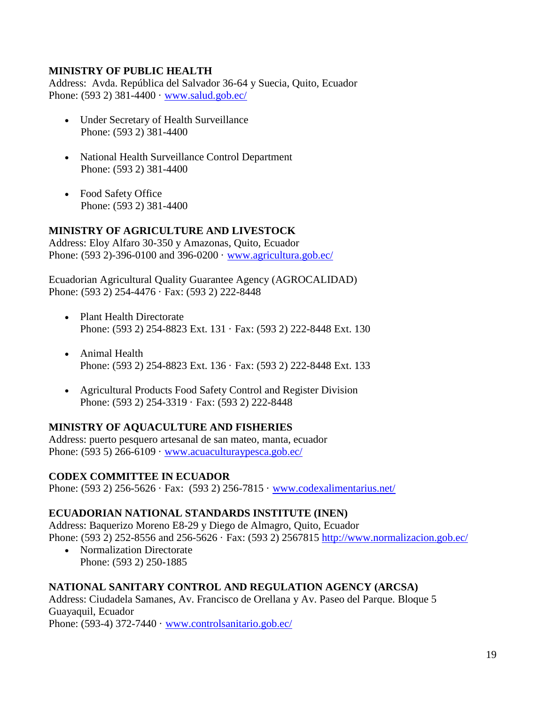#### **MINISTRY OF PUBLIC HEALTH**

Address: Avda. República del Salvador 36-64 y Suecia, Quito, Ecuador Phone: (593 2) 381-4400 · [www.salud.gob.ec/](http://www.salud.gob.ec/)

- Under Secretary of Health Surveillance Phone: (593 2) 381-4400
- National Health Surveillance Control Department Phone: (593 2) 381-4400
- Food Safety Office Phone: (593 2) 381-4400

## **MINISTRY OF AGRICULTURE AND LIVESTOCK**

Address: Eloy Alfaro 30-350 y Amazonas, Quito, Ecuador Phone: (593 2)-396-0100 and 396-0200 · [www.agricultura.gob.ec/](http://www.agricultura.gob.ec/)

Ecuadorian Agricultural Quality Guarantee Agency (AGROCALIDAD) Phone: (593 2) 254-4476 · Fax: (593 2) 222-8448

- Plant Health Directorate Phone: (593 2) 254-8823 Ext. 131 · Fax: (593 2) 222-8448 Ext. 130
- Animal Health Phone: (593 2) 254-8823 Ext. 136 · Fax: (593 2) 222-8448 Ext. 133
- Agricultural Products Food Safety Control and Register Division Phone: (593 2) 254-3319 · Fax: (593 2) 222-8448

#### **MINISTRY OF AQUACULTURE AND FISHERIES**

Address: puerto pesquero artesanal de san mateo, manta, ecuador Phone:  $(593 5) 266-6109 \cdot www.acuaculturaypesca.gov.ec/$ 

#### **CODEX COMMITTEE IN ECUADOR**

Phone: (593 2) 256-5626 · Fax: (593 2) 256-7815 · [www.codexalimentarius.net/](http://www.codexalimentarius.net/)

#### **ECUADORIAN NATIONAL STANDARDS INSTITUTE (INEN)**

Address: Baquerizo Moreno E8-29 y Diego de Almagro, Quito, Ecuador Phone: (593 2) 252-8556 and 256-5626 · Fax: (593 2) 2567815 <http://www.normalizacion.gob.ec/>

• Normalization Directorate Phone: (593 2) 250-1885

## **NATIONAL SANITARY CONTROL AND REGULATION AGENCY (ARCSA)**

Address: Ciudadela Samanes, Av. Francisco de Orellana y Av. Paseo del Parque. Bloque 5 Guayaquil, Ecuador

Phone: (593-4) 372-7440 · [www.controlsanitario.gob.ec/](http://www.controlsanitario.gob.ec/)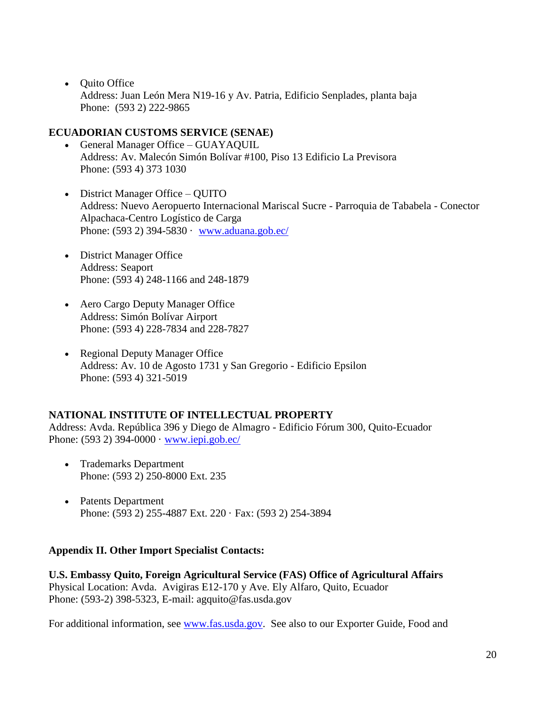• Quito Office Address: Juan León Mera N19-16 y Av. Patria, Edificio Senplades, planta baja Phone: (593 2) 222-9865

#### **ECUADORIAN CUSTOMS SERVICE (SENAE)**

- General Manager Office GUAYAQUIL Address: Av. Malecón Simón Bolívar #100, Piso 13 Edificio La Previsora Phone: (593 4) 373 1030
- District Manager Office OUITO Address: Nuevo Aeropuerto Internacional Mariscal Sucre - Parroquia de Tababela - Conector Alpachaca-Centro Logístico de Carga Phone: (593 2) 394-5830 · [www.aduana.gob.ec/](http://www.aduana.gob.ec/)
- District Manager Office Address: Seaport Phone: (593 4) 248-1166 and 248-1879
- Aero Cargo Deputy Manager Office Address: Simón Bolívar Airport Phone: (593 4) 228-7834 and 228-7827
- Regional Deputy Manager Office Address: Av. 10 de Agosto 1731 y San Gregorio - Edificio Epsilon Phone: (593 4) 321-5019

#### **NATIONAL INSTITUTE OF INTELLECTUAL PROPERTY**

Address: Avda. República 396 y Diego de Almagro - Edificio Fórum 300, Quito-Ecuador Phone:  $(593 2) 394-0000 \cdot www.iepi.gov.ec/$ 

- Trademarks Department Phone: (593 2) 250-8000 Ext. 235
- Patents Department Phone: (593 2) 255-4887 Ext. 220 · Fax: (593 2) 254-3894

#### **Appendix II. Other Import Specialist Contacts:**

**U.S. Embassy Quito, Foreign Agricultural Service (FAS) Office of Agricultural Affairs** Physical Location: Avda. Avigiras E12-170 y Ave. Ely Alfaro, Quito, Ecuador Phone: (593-2) 398-5323, E-mail: agquito@fas.usda.gov

For additional information, see [www.fas.usda.gov.](http://www.fas.usda.gov/) See also to our Exporter Guide, Food and